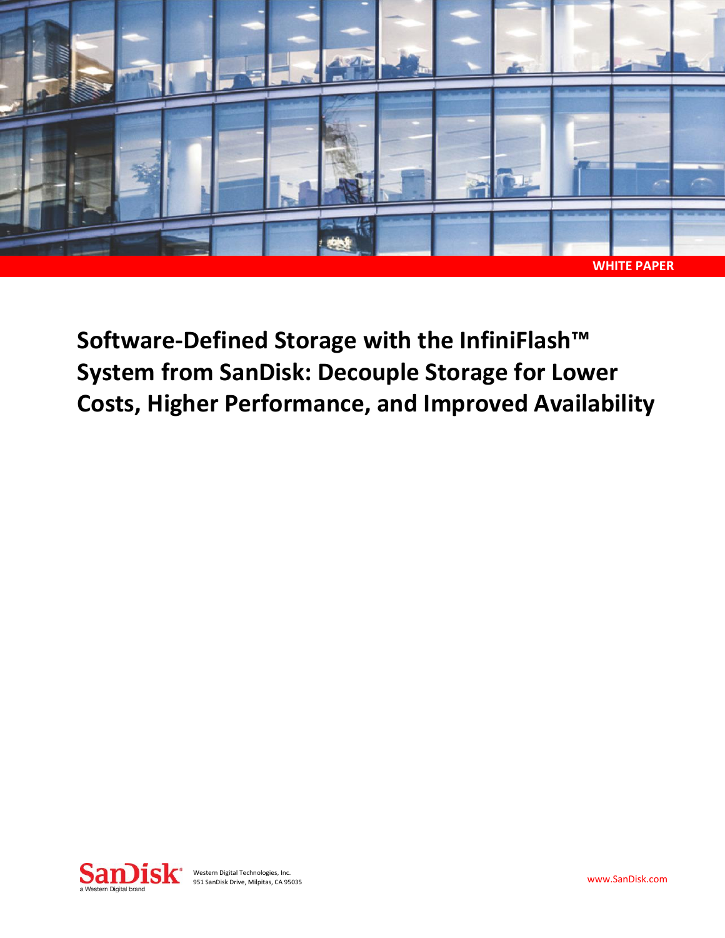

# **Software-Defined Storage with the InfiniFlash™ System from SanDisk: Decouple Storage for Lower Costs, Higher Performance, and Improved Availability**

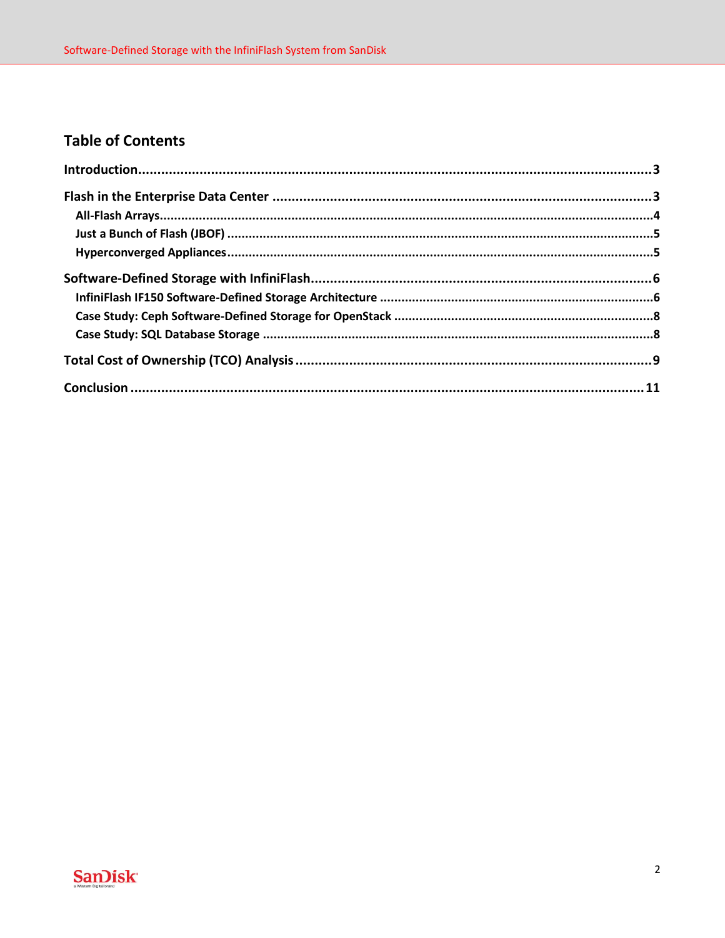## **Table of Contents**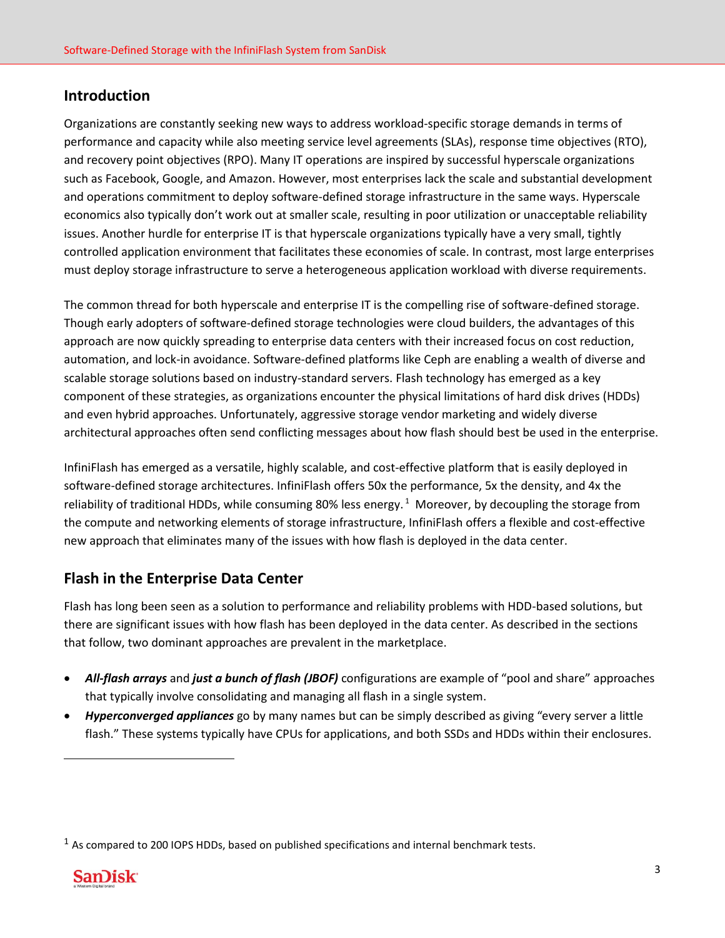#### **Introduction**

Organizations are constantly seeking new ways to address workload-specific storage demands in terms of performance and capacity while also meeting service level agreements (SLAs), response time objectives (RTO), and recovery point objectives (RPO). Many IT operations are inspired by successful hyperscale organizations such as Facebook, Google, and Amazon. However, most enterprises lack the scale and substantial development and operations commitment to deploy software-defined storage infrastructure in the same ways. Hyperscale economics also typically don't work out at smaller scale, resulting in poor utilization or unacceptable reliability issues. Another hurdle for enterprise IT is that hyperscale organizations typically have a very small, tightly controlled application environment that facilitates these economies of scale. In contrast, most large enterprises must deploy storage infrastructure to serve a heterogeneous application workload with diverse requirements.

The common thread for both hyperscale and enterprise IT is the compelling rise of software-defined storage. Though early adopters of software-defined storage technologies were cloud builders, the advantages of this approach are now quickly spreading to enterprise data centers with their increased focus on cost reduction, automation, and lock-in avoidance. Software-defined platforms like Ceph are enabling a wealth of diverse and scalable storage solutions based on industry-standard servers. Flash technology has emerged as a key component of these strategies, as organizations encounter the physical limitations of hard disk drives (HDDs) and even hybrid approaches. Unfortunately, aggressive storage vendor marketing and widely diverse architectural approaches often send conflicting messages about how flash should best be used in the enterprise.

InfiniFlash has emerged as a versatile, highly scalable, and cost-effective platform that is easily deployed in software-defined storage architectures. InfiniFlash offers 50x the performance, 5x the density, and 4x the reliability of traditional HDDs, while consuming 80% less energy. <sup>1</sup> Moreover, by decoupling the storage from the compute and networking elements of storage infrastructure, InfiniFlash offers a flexible and cost-effective new approach that eliminates many of the issues with how flash is deployed in the data center.

#### **Flash in the Enterprise Data Center**

Flash has long been seen as a solution to performance and reliability problems with HDD-based solutions, but there are significant issues with how flash has been deployed in the data center. As described in the sections that follow, two dominant approaches are prevalent in the marketplace.

- *All-flash arrays* and *just a bunch of flash (JBOF)* configurations are example of "pool and share" approaches that typically involve consolidating and managing all flash in a single system.
- *Hyperconverged appliances* go by many names but can be simply described as giving "every server a little flash." These systems typically have CPUs for applications, and both SSDs and HDDs within their enclosures.

 $<sup>1</sup>$  As compared to 200 IOPS HDDs, based on published specifications and internal benchmark tests.</sup>



 $\overline{a}$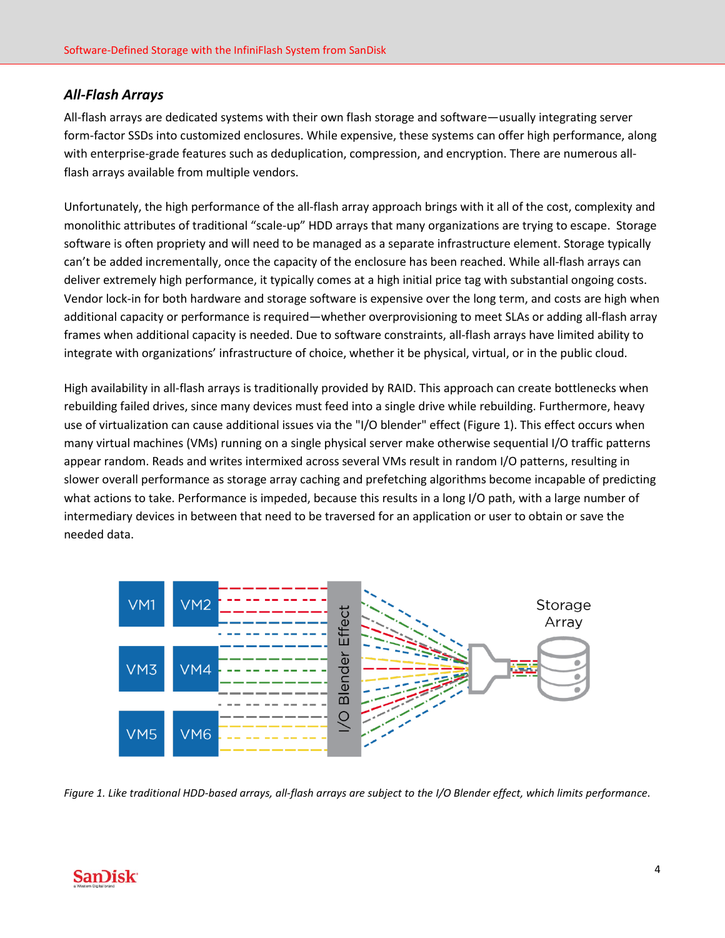#### *All-Flash Arrays*

All-flash arrays are dedicated systems with their own flash storage and software—usually integrating server form-factor SSDs into customized enclosures. While expensive, these systems can offer high performance, along with enterprise-grade features such as deduplication, compression, and encryption. There are numerous allflash arrays available from multiple vendors.

Unfortunately, the high performance of the all-flash array approach brings with it all of the cost, complexity and monolithic attributes of traditional "scale-up" HDD arrays that many organizations are trying to escape. Storage software is often propriety and will need to be managed as a separate infrastructure element. Storage typically can't be added incrementally, once the capacity of the enclosure has been reached. While all-flash arrays can deliver extremely high performance, it typically comes at a high initial price tag with substantial ongoing costs. Vendor lock-in for both hardware and storage software is expensive over the long term, and costs are high when additional capacity or performance is required—whether overprovisioning to meet SLAs or adding all-flash array frames when additional capacity is needed. Due to software constraints, all-flash arrays have limited ability to integrate with organizations' infrastructure of choice, whether it be physical, virtual, or in the public cloud.

High availability in all-flash arrays is traditionally provided by RAID. This approach can create bottlenecks when rebuilding failed drives, since many devices must feed into a single drive while rebuilding. Furthermore, heavy use of virtualization can cause additional issues via the "I/O blender" effect (Figure 1). This effect occurs when many virtual machines (VMs) running on a single physical server make otherwise sequential I/O traffic patterns appear random. Reads and writes intermixed across several VMs result in random I/O patterns, resulting in slower overall performance as storage array caching and prefetching algorithms become incapable of predicting what actions to take. Performance is impeded, because this results in a long I/O path, with a large number of intermediary devices in between that need to be traversed for an application or user to obtain or save the needed data.



*Figure 1. Like traditional HDD-based arrays, all-flash arrays are subject to the I/O Blender effect, which limits performance.*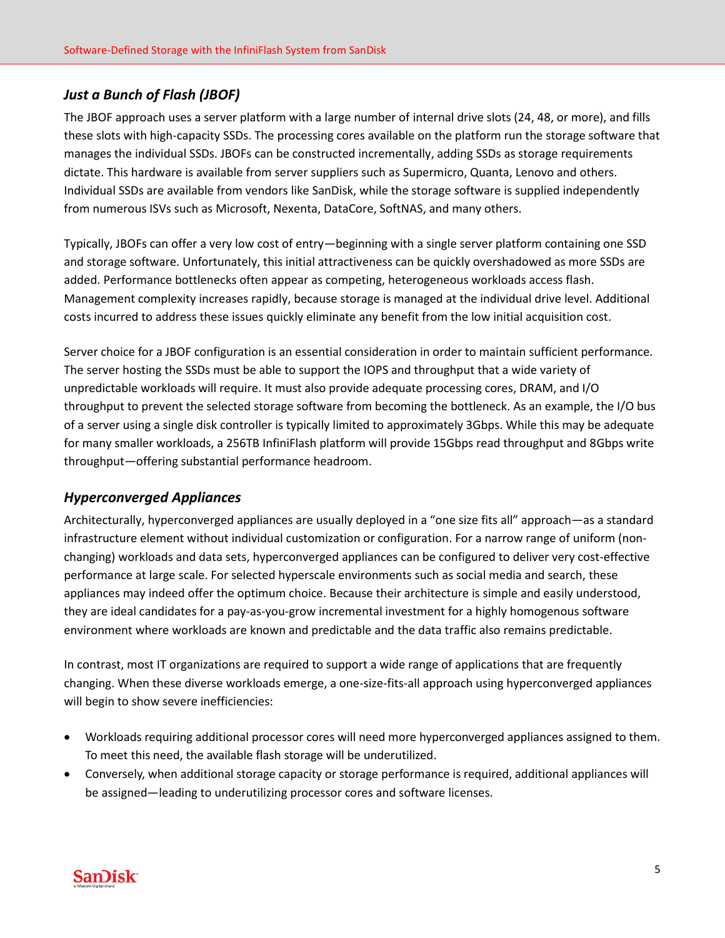#### *Just a Bunch of Flash (JBOF)*

The JBOF approach uses a server platform with a large number of internal drive slots (24, 48, or more), and fills these slots with high-capacity SSDs. The processing cores available on the platform run the storage software that manages the individual SSDs. JBOFs can be constructed incrementally, adding SSDs as storage requirements dictate. This hardware is available from server suppliers such as Supermicro, Quanta, Lenovo and others. Individual SSDs are available from vendors like SanDisk, while the storage software is supplied independently from numerous ISVs such as Microsoft, Nexenta, DataCore, SoftNAS, and many others.

Typically, JBOFs can offer a very low cost of entry—beginning with a single server platform containing one SSD and storage software. Unfortunately, this initial attractiveness can be quickly overshadowed as more SSDs are added. Performance bottlenecks often appear as competing, heterogeneous workloads access flash. Management complexity increases rapidly, because storage is managed at the individual drive level. Additional costs incurred to address these issues quickly eliminate any benefit from the low initial acquisition cost.

Server choice for a JBOF configuration is an essential consideration in order to maintain sufficient performance. The server hosting the SSDs must be able to support the IOPS and throughput that a wide variety of unpredictable workloads will require. It must also provide adequate processing cores, DRAM, and I/O throughput to prevent the selected storage software from becoming the bottleneck. As an example, the I/O bus of a server using a single disk controller is typically limited to approximately 3Gbps. While this may be adequate for many smaller workloads, a 256TB InfiniFlash platform will provide 15Gbps read throughput and 8Gbps write throughput—offering substantial performance headroom.

#### *Hyperconverged Appliances*

Architecturally, hyperconverged appliances are usually deployed in a "one size fits all" approach—as a standard infrastructure element without individual customization or configuration. For a narrow range of uniform (nonchanging) workloads and data sets, hyperconverged appliances can be configured to deliver very cost-effective performance at large scale. For selected hyperscale environments such as social media and search, these appliances may indeed offer the optimum choice. Because their architecture is simple and easily understood, they are ideal candidates for a pay-as-you-grow incremental investment for a highly homogenous software environment where workloads are known and predictable and the data traffic also remains predictable.

In contrast, most IT organizations are required to support a wide range of applications that are frequently changing. When these diverse workloads emerge, a one-size-fits-all approach using hyperconverged appliances will begin to show severe inefficiencies:

- Workloads requiring additional processor cores will need more hyperconverged appliances assigned to them. To meet this need, the available flash storage will be underutilized.
- Conversely, when additional storage capacity or storage performance is required, additional appliances will be assigned—leading to underutilizing processor cores and software licenses.

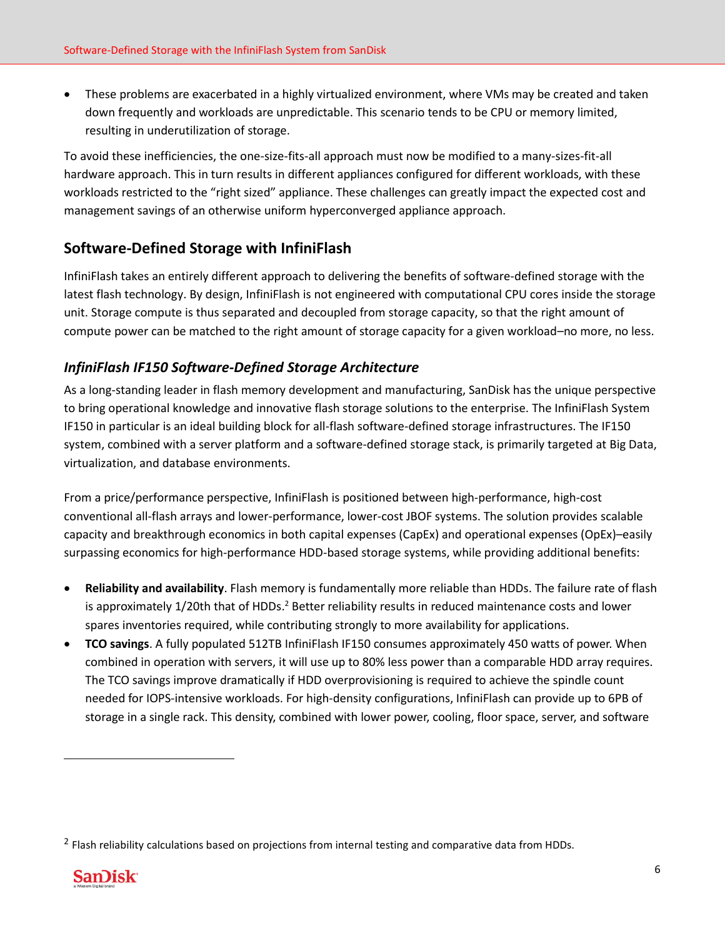These problems are exacerbated in a highly virtualized environment, where VMs may be created and taken down frequently and workloads are unpredictable. This scenario tends to be CPU or memory limited, resulting in underutilization of storage.

To avoid these inefficiencies, the one-size-fits-all approach must now be modified to a many-sizes-fit-all hardware approach. This in turn results in different appliances configured for different workloads, with these workloads restricted to the "right sized" appliance. These challenges can greatly impact the expected cost and management savings of an otherwise uniform hyperconverged appliance approach.

#### **Software-Defined Storage with InfiniFlash**

InfiniFlash takes an entirely different approach to delivering the benefits of software-defined storage with the latest flash technology. By design, InfiniFlash is not engineered with computational CPU cores inside the storage unit. Storage compute is thus separated and decoupled from storage capacity, so that the right amount of compute power can be matched to the right amount of storage capacity for a given workload–no more, no less.

#### *InfiniFlash IF150 Software-Defined Storage Architecture*

As a long-standing leader in flash memory development and manufacturing, SanDisk has the unique perspective to bring operational knowledge and innovative flash storage solutions to the enterprise. The InfiniFlash System IF150 in particular is an ideal building block for all-flash software-defined storage infrastructures. The IF150 system, combined with a server platform and a software-defined storage stack, is primarily targeted at Big Data, virtualization, and database environments.

From a price/performance perspective, InfiniFlash is positioned between high-performance, high-cost conventional all-flash arrays and lower-performance, lower-cost JBOF systems. The solution provides scalable capacity and breakthrough economics in both capital expenses (CapEx) and operational expenses (OpEx)–easily surpassing economics for high-performance HDD-based storage systems, while providing additional benefits:

- **Reliability and availability**. Flash memory is fundamentally more reliable than HDDs. The failure rate of flash is approximately 1/20th that of HDDs.<sup>2</sup> Better reliability results in reduced maintenance costs and lower spares inventories required, while contributing strongly to more availability for applications.
- **TCO savings**. A fully populated 512TB InfiniFlash IF150 consumes approximately 450 watts of power. When combined in operation with servers, it will use up to 80% less power than a comparable HDD array requires. The TCO savings improve dramatically if HDD overprovisioning is required to achieve the spindle count needed for IOPS-intensive workloads. For high-density configurations, InfiniFlash can provide up to 6PB of storage in a single rack. This density, combined with lower power, cooling, floor space, server, and software

<sup>&</sup>lt;sup>2</sup> Flash reliability calculations based on projections from internal testing and comparative data from HDDs.



 $\overline{a}$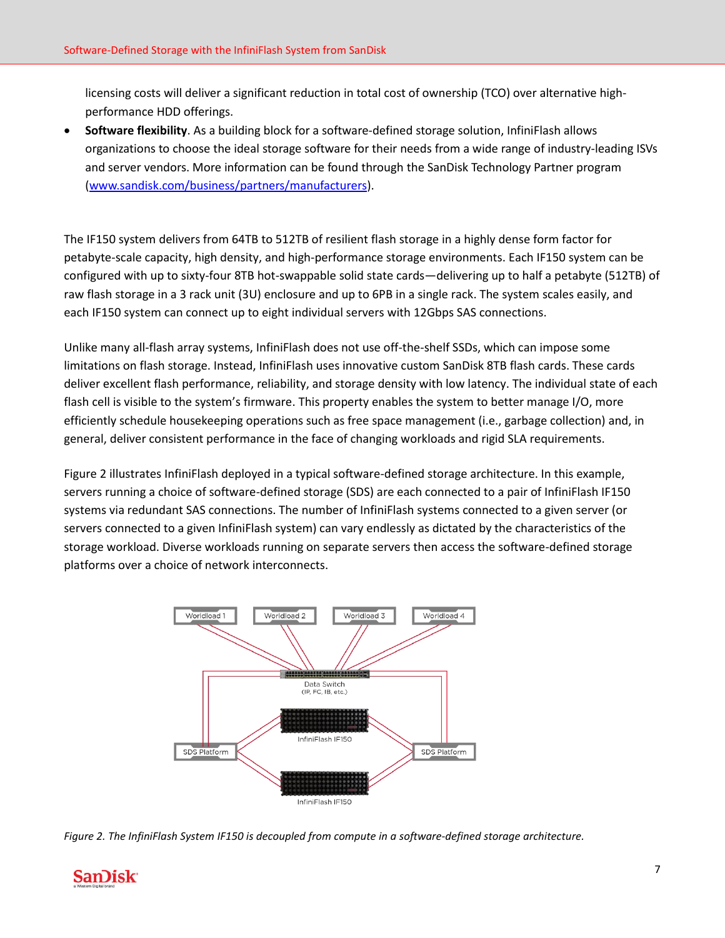licensing costs will deliver a significant reduction in total cost of ownership (TCO) over alternative highperformance HDD offerings.

 **Software flexibility**. As a building block for a software-defined storage solution, InfiniFlash allows organizations to choose the ideal storage software for their needs from a wide range of industry-leading ISVs and server vendors. More information can be found through the SanDisk Technology Partner program [\(www.sandisk.com/business/partners/manufacturers\)](http://www.sandisk.com/business/partners/manufacturers).

The IF150 system delivers from 64TB to 512TB of resilient flash storage in a highly dense form factor for petabyte-scale capacity, high density, and high-performance storage environments. Each IF150 system can be configured with up to sixty-four 8TB hot-swappable solid state cards—delivering up to half a petabyte (512TB) of raw flash storage in a 3 rack unit (3U) enclosure and up to 6PB in a single rack. The system scales easily, and each IF150 system can connect up to eight individual servers with 12Gbps SAS connections.

Unlike many all-flash array systems, InfiniFlash does not use off-the-shelf SSDs, which can impose some limitations on flash storage. Instead, InfiniFlash uses innovative custom SanDisk 8TB flash cards. These cards deliver excellent flash performance, reliability, and storage density with low latency. The individual state of each flash cell is visible to the system's firmware. This property enables the system to better manage I/O, more efficiently schedule housekeeping operations such as free space management (i.e., garbage collection) and, in general, deliver consistent performance in the face of changing workloads and rigid SLA requirements.

Figure 2 illustrates InfiniFlash deployed in a typical software-defined storage architecture. In this example, servers running a choice of software-defined storage (SDS) are each connected to a pair of InfiniFlash IF150 systems via redundant SAS connections. The number of InfiniFlash systems connected to a given server (or servers connected to a given InfiniFlash system) can vary endlessly as dictated by the characteristics of the storage workload. Diverse workloads running on separate servers then access the software-defined storage platforms over a choice of network interconnects.



*Figure 2. The InfiniFlash System IF150 is decoupled from compute in a software-defined storage architecture.*

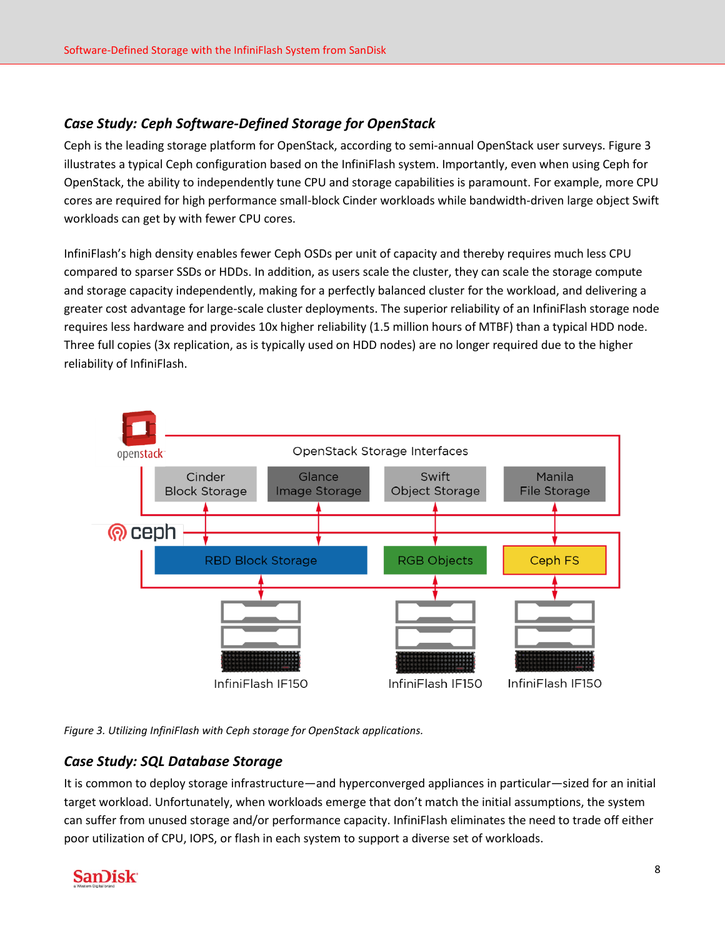#### *Case Study: Ceph Software-Defined Storage for OpenStack*

Ceph is the leading storage platform for OpenStack, according to semi-annual OpenStack user surveys. Figure 3 illustrates a typical Ceph configuration based on the InfiniFlash system. Importantly, even when using Ceph for OpenStack, the ability to independently tune CPU and storage capabilities is paramount. For example, more CPU cores are required for high performance small-block Cinder workloads while bandwidth-driven large object Swift workloads can get by with fewer CPU cores.

InfiniFlash's high density enables fewer Ceph OSDs per unit of capacity and thereby requires much less CPU compared to sparser SSDs or HDDs. In addition, as users scale the cluster, they can scale the storage compute and storage capacity independently, making for a perfectly balanced cluster for the workload, and delivering a greater cost advantage for large-scale cluster deployments. The superior reliability of an InfiniFlash storage node requires less hardware and provides 10x higher reliability (1.5 million hours of MTBF) than a typical HDD node. Three full copies (3x replication, as is typically used on HDD nodes) are no longer required due to the higher reliability of InfiniFlash.



*Figure 3. Utilizing InfiniFlash with Ceph storage for OpenStack applications.*

#### *Case Study: SQL Database Storage*

It is common to deploy storage infrastructure—and hyperconverged appliances in particular—sized for an initial target workload. Unfortunately, when workloads emerge that don't match the initial assumptions, the system can suffer from unused storage and/or performance capacity. InfiniFlash eliminates the need to trade off either poor utilization of CPU, IOPS, or flash in each system to support a diverse set of workloads.

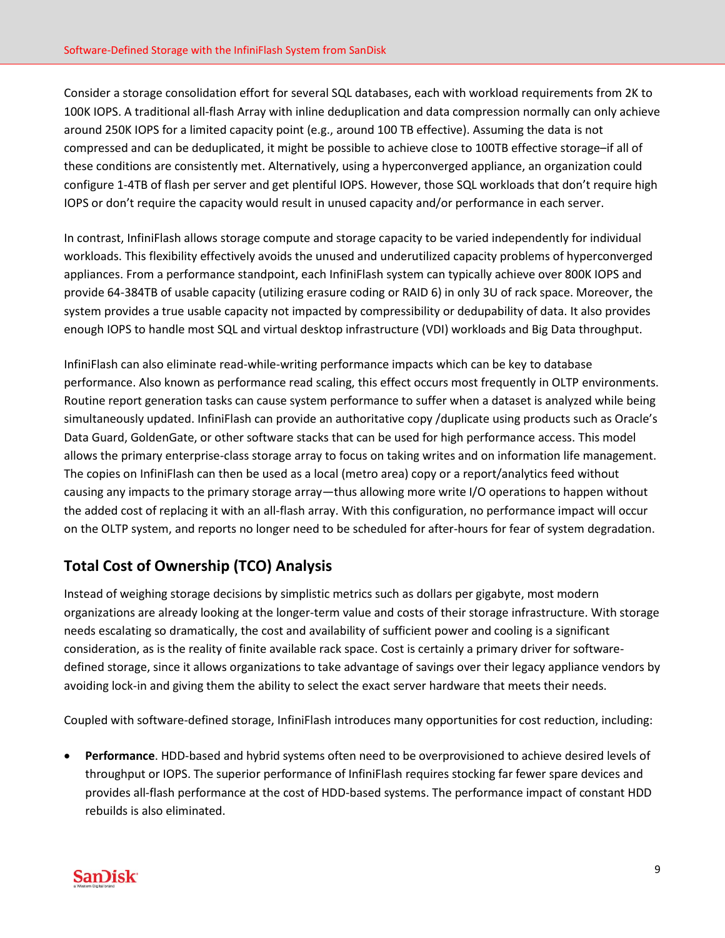Consider a storage consolidation effort for several SQL databases, each with workload requirements from 2K to 100K IOPS. A traditional all-flash Array with inline deduplication and data compression normally can only achieve around 250K IOPS for a limited capacity point (e.g., around 100 TB effective). Assuming the data is not compressed and can be deduplicated, it might be possible to achieve close to 100TB effective storage–if all of these conditions are consistently met. Alternatively, using a hyperconverged appliance, an organization could configure 1-4TB of flash per server and get plentiful IOPS. However, those SQL workloads that don't require high IOPS or don't require the capacity would result in unused capacity and/or performance in each server.

In contrast, InfiniFlash allows storage compute and storage capacity to be varied independently for individual workloads. This flexibility effectively avoids the unused and underutilized capacity problems of hyperconverged appliances. From a performance standpoint, each InfiniFlash system can typically achieve over 800K IOPS and provide 64-384TB of usable capacity (utilizing erasure coding or RAID 6) in only 3U of rack space. Moreover, the system provides a true usable capacity not impacted by compressibility or dedupability of data. It also provides enough IOPS to handle most SQL and virtual desktop infrastructure (VDI) workloads and Big Data throughput.

InfiniFlash can also eliminate read-while-writing performance impacts which can be key to database performance. Also known as performance read scaling, this effect occurs most frequently in OLTP environments. Routine report generation tasks can cause system performance to suffer when a dataset is analyzed while being simultaneously updated. InfiniFlash can provide an authoritative copy /duplicate using products such as Oracle's Data Guard, GoldenGate, or other software stacks that can be used for high performance access. This model allows the primary enterprise-class storage array to focus on taking writes and on information life management. The copies on InfiniFlash can then be used as a local (metro area) copy or a report/analytics feed without causing any impacts to the primary storage array—thus allowing more write I/O operations to happen without the added cost of replacing it with an all-flash array. With this configuration, no performance impact will occur on the OLTP system, and reports no longer need to be scheduled for after-hours for fear of system degradation.

### **Total Cost of Ownership (TCO) Analysis**

Instead of weighing storage decisions by simplistic metrics such as dollars per gigabyte, most modern organizations are already looking at the longer-term value and costs of their storage infrastructure. With storage needs escalating so dramatically, the cost and availability of sufficient power and cooling is a significant consideration, as is the reality of finite available rack space. Cost is certainly a primary driver for softwaredefined storage, since it allows organizations to take advantage of savings over their legacy appliance vendors by avoiding lock-in and giving them the ability to select the exact server hardware that meets their needs.

Coupled with software-defined storage, InfiniFlash introduces many opportunities for cost reduction, including:

 **Performance**. HDD-based and hybrid systems often need to be overprovisioned to achieve desired levels of throughput or IOPS. The superior performance of InfiniFlash requires stocking far fewer spare devices and provides all-flash performance at the cost of HDD-based systems. The performance impact of constant HDD rebuilds is also eliminated.

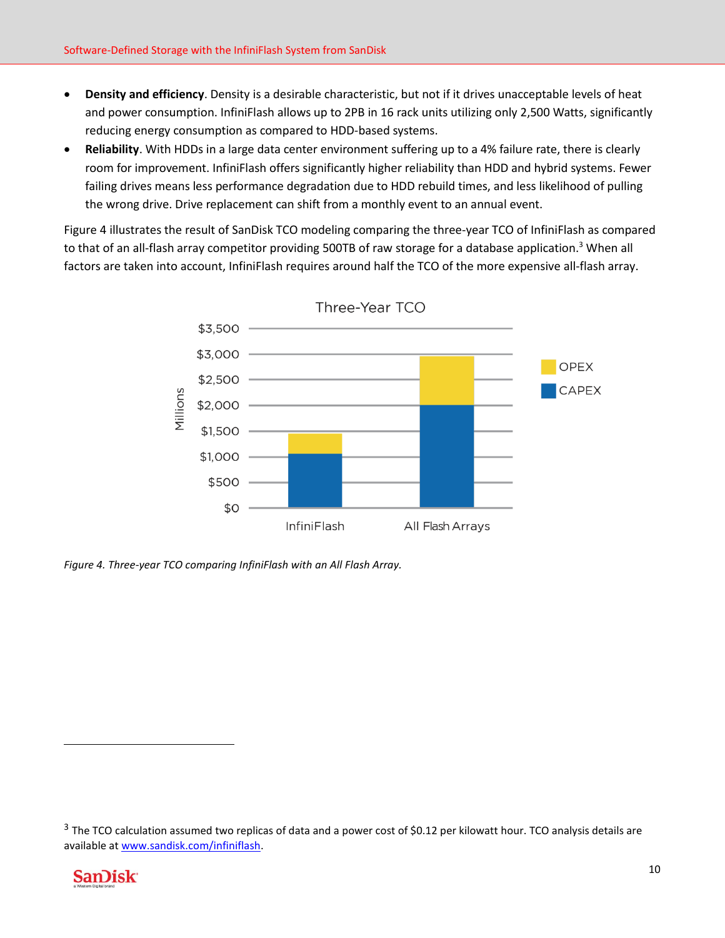- **Density and efficiency**. Density is a desirable characteristic, but not if it drives unacceptable levels of heat and power consumption. InfiniFlash allows up to 2PB in 16 rack units utilizing only 2,500 Watts, significantly reducing energy consumption as compared to HDD-based systems.
- **Reliability**. With HDDs in a large data center environment suffering up to a 4% failure rate, there is clearly room for improvement. InfiniFlash offers significantly higher reliability than HDD and hybrid systems. Fewer failing drives means less performance degradation due to HDD rebuild times, and less likelihood of pulling the wrong drive. Drive replacement can shift from a monthly event to an annual event.

Figure 4 illustrates the result of SanDisk TCO modeling comparing the three-year TCO of InfiniFlash as compared to that of an all-flash array competitor providing 500TB of raw storage for a database application.<sup>3</sup> When all factors are taken into account, InfiniFlash requires around half the TCO of the more expensive all-flash array.



*Figure 4. Three-year TCO comparing InfiniFlash with an All Flash Array.*

 $3$  The TCO calculation assumed two replicas of data and a power cost of \$0.12 per kilowatt hour. TCO analysis details are available a[t www.sandisk.com/infiniflash.](http://www.sandisk.com/infiniflash)



 $\overline{a}$